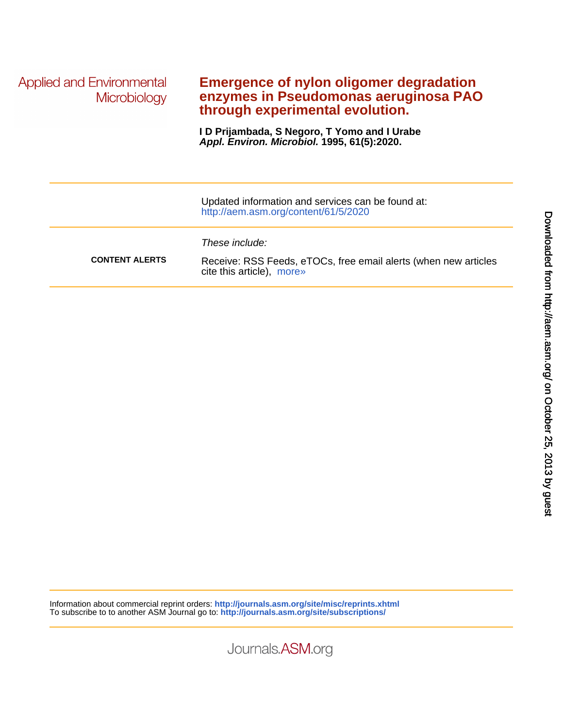**Applied and Environmental** Microbiology

## **through experimental evolution. enzymes in Pseudomonas aeruginosa PAO Emergence of nylon oligomer degradation**

**Appl. Environ. Microbiol. 1995, 61(5):2020. I D Prijambada, S Negoro, T Yomo and I Urabe**

|                       | Updated information and services can be found at:<br>http://aem.asm.org/content/61/5/2020                      |
|-----------------------|----------------------------------------------------------------------------------------------------------------|
| <b>CONTENT ALERTS</b> | These include:<br>Receive: RSS Feeds, eTOCs, free email alerts (when new articles<br>cite this article), more» |

Information about commercial reprint orders: **http://journals.asm.org/site/misc/reprints.xhtml** To subscribe to to another ASM Journal go to: **http://journals.asm.org/site/subscriptions/**

Journals.ASM.org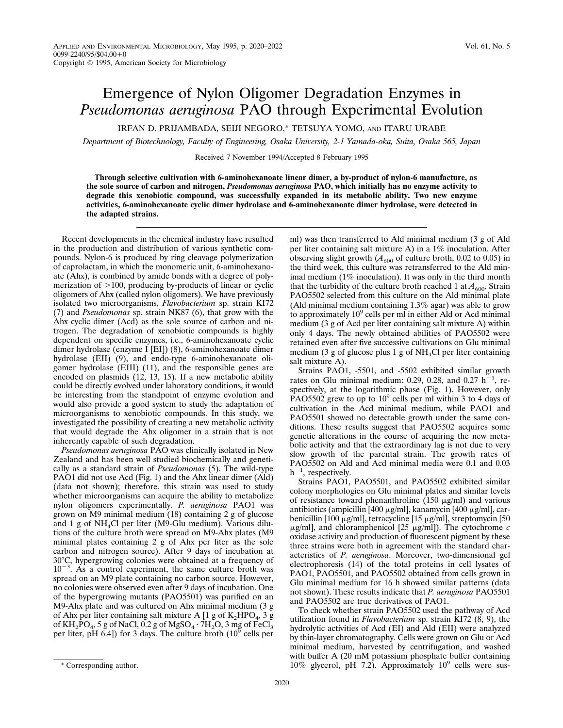IRFAN D. PRIJAMBADA, SEIJI NEGORO,\* TETSUYA YOMO, AND ITARU URABE

*Department of Biotechnology, Faculty of Engineering, Osaka University, 2-1 Yamada-oka, Suita, Osaka 565, Japan*

Received 7 November 1994/Accepted 8 February 1995

**Through selective cultivation with 6-aminohexanoate linear dimer, a by-product of nylon-6 manufacture, as the sole source of carbon and nitrogen,** *Pseudomonas aeruginosa* **PAO, which initially has no enzyme activity to degrade this xenobiotic compound, was successfully expanded in its metabolic ability. Two new enzyme activities, 6-aminohexanoate cyclic dimer hydrolase and 6-aminohexanoate dimer hydrolase, were detected in the adapted strains.**

Recent developments in the chemical industry have resulted in the production and distribution of various synthetic compounds. Nylon-6 is produced by ring cleavage polymerization of caprolactam, in which the monomeric unit, 6-aminohexanoate (Ahx), is combined by amide bonds with a degree of polymerization of  $>100$ , producing by-products of linear or cyclic oligomers of Ahx (called nylon oligomers). We have previously isolated two microorganisms, *Flavobacterium* sp. strain KI72 (7) and *Pseudomonas* sp. strain NK87 (6), that grow with the Ahx cyclic dimer (Acd) as the sole source of carbon and nitrogen. The degradation of xenobiotic compounds is highly dependent on specific enzymes, i.e., 6-aminohexanoate cyclic dimer hydrolase (enzyme I [EI]) (8), 6-aminohexanoate dimer hydrolase (EII) (9), and endo-type 6-aminohexanoate oligomer hydrolase (EIII) (11), and the responsible genes are encoded on plasmids (12, 13, 15). If a new metabolic ability could be directly evolved under laboratory conditions, it would be interesting from the standpoint of enzyme evolution and would also provide a good system to study the adaptation of microorganisms to xenobiotic compounds. In this study, we investigated the possibility of creating a new metabolic activity that would degrade the Ahx oligomer in a strain that is not inherently capable of such degradation.

*Pseudomonas aeruginosa* PAO was clinically isolated in New Zealand and has been well studied biochemically and genetically as a standard strain of *Pseudomonas* (5). The wild-type PAO1 did not use Acd (Fig. 1) and the Ahx linear dimer (Ald) (data not shown); therefore, this strain was used to study whether microorganisms can acquire the ability to metabolize nylon oligomers experimentally. *P. aeruginosa* PAO1 was grown on M9 minimal medium (18) containing 2 g of glucose and 1 g of NH4Cl per liter (M9-Glu medium). Various dilutions of the culture broth were spread on M9-Ahx plates (M9 minimal plates containing 2 g of Ahx per liter as the sole carbon and nitrogen source). After 9 days of incubation at 308C, hypergrowing colonies were obtained at a frequency of  $10^{-3}$ . As a control experiment, the same culture broth was spread on an M9 plate containing no carbon source. However, no colonies were observed even after 9 days of incubation. One of the hypergrowing mutants (PAO5501) was purified on an M9-Ahx plate and was cultured on Ahx minimal medium (3 g of Ahx per liter containing salt mixture A [1 g of  $K_2HPO_4$ , 3 g of  $KH_2PO_4$ , 5 g of NaCl, 0.2 g of MgSO<sub>4</sub> ·  $7H_2O$ , 3 mg of FeCl<sub>3</sub> per liter, pH 6.4]) for 3 days. The culture broth  $(10^9 \text{ cells per})$ 

Strains PAO1, -5501, and -5502 exhibited similar growth rates on Glu minimal medium: 0.29, 0.28, and 0.27  $h^{-1}$ , respectively, at the logarithmic phase (Fig. 1). However, only PAO5502 grew to up to  $10^9$  cells per ml within 3 to 4 days of cultivation in the Acd minimal medium, while PAO1 and PAO5501 showed no detectable growth under the same conditions. These results suggest that PAO5502 acquires some genetic alterations in the course of acquiring the new metabolic activity and that the extraordinary lag is not due to very slow growth of the parental strain. The growth rates of PAO5502 on Ald and Acd minimal media were 0.1 and 0.03  $h^{-1}$ , respectively.

Strains PAO1, PAO5501, and PAO5502 exhibited similar colony morphologies on Glu minimal plates and similar levels of resistance toward phenanthroline (150  $\mu$ g/ml) and various antibiotics (ampicillin [400  $\mu$ g/ml], kanamycin [400  $\mu$ g/ml], carbenicillin [100  $\mu$ g/ml], tetracycline [15  $\mu$ g/ml], streptomycin [50 mg/ml], and chloramphenicol [25 mg/ml]). The cytochrome *c* oxidase activity and production of fluorescent pigment by these three strains were both in agreement with the standard characteristics of *P. aeruginosa*. Moreover, two-dimensional gel electrophoresis (14) of the total proteins in cell lysates of PAO1, PAO5501, and PAO5502 obtained from cells grown in Glu minimal medium for 16 h showed similar patterns (data not shown). These results indicate that *P. aeruginosa* PAO5501 and PAO5502 are true derivatives of PAO1.

To check whether strain PAO5502 used the pathway of Acd utilization found in *Flavobacterium* sp. strain KI72 (8, 9), the hydrolytic activities of Acd (EI) and Ald (EII) were analyzed by thin-layer chromatography. Cells were grown on Glu or Acd minimal medium, harvested by centrifugation, and washed with buffer A (20 mM potassium phosphate buffer containing \* Corresponding author.  $10\%$  glycerol, pH 7.2). Approximately  $10^9$  cells were sus-

ml) was then transferred to Ald minimal medium (3 g of Ald per liter containing salt mixture A) in a 1% inoculation. After observing slight growth  $(A_{600}$  of culture broth, 0.02 to 0.05) in the third week, this culture was retransferred to the Ald minimal medium (1% inoculation). It was only in the third month that the turbidity of the culture broth reached 1 at  $A_{600}$ . Strain PAO5502 selected from this culture on the Ald minimal plate (Ald minimal medium containing 1.3% agar) was able to grow to approximately 10<sup>9</sup> cells per ml in either Ald or Acd minimal medium (3 g of Acd per liter containing salt mixture A) within only 4 days. The newly obtained abilities of PAO5502 were retained even after five successive cultivations on Glu minimal medium (3 g of glucose plus 1 g of  $NH<sub>4</sub>Cl$  per liter containing salt mixture A).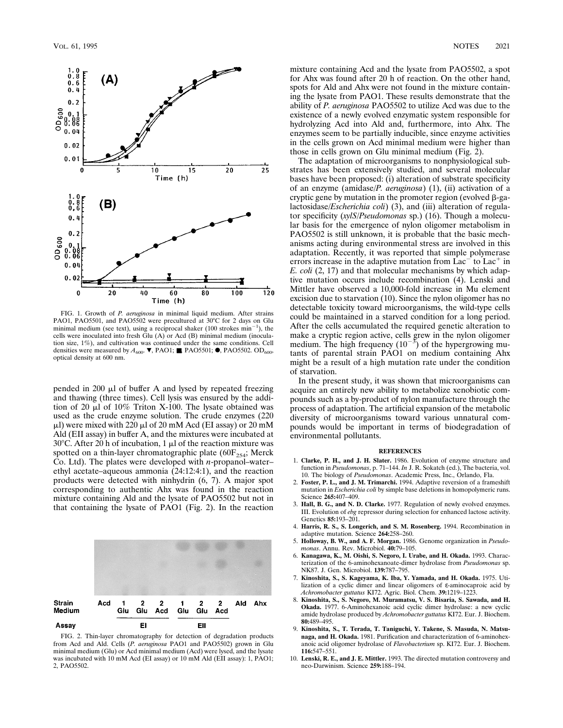

FIG. 1. Growth of *P. aeruginosa* in minimal liquid medium. After strains PAO1, PAO5501, and PAO5502 were precultured at 30°C for 2 days on Glu minimal medium (see text), using a reciprocal shaker (100 strokes  $min^{-1}$ ), the cells were inoculated into fresh Glu (A) or Acd (B) minimal medium (inoculation size, 1%), and cultivation was continued under the same conditions. Cell densities were measured by  $A_{600}$ .  $\nabla$ , PAO1;  $\blacksquare$ , PAO5501;  $\blacksquare$ , PAO5502. OD<sub>600</sub>, optical density at 600 nm.

pended in 200  $\mu$ l of buffer A and lysed by repeated freezing and thawing (three times). Cell lysis was ensured by the addition of 20  $\mu$ l of 10% Triton X-100. The lysate obtained was used as the crude enzyme solution. The crude enzymes (220  $\mu$ l) were mixed with 220  $\mu$ l of 20 mM Acd (EI assay) or 20 mM Ald (EII assay) in buffer A, and the mixtures were incubated at 30 $^{\circ}$ C. After 20 h of incubation, 1  $\mu$ l of the reaction mixture was spotted on a thin-layer chromatographic plate ( $60F_{254}$ ; Merck Co. Ltd). The plates were developed with *n*-propanol–water– ethyl acetate–aqueous ammonia (24:12:4:1), and the reaction products were detected with ninhydrin (6, 7). A major spot corresponding to authentic Ahx was found in the reaction mixture containing Ald and the lysate of PAO5502 but not in that containing the lysate of PAO1 (Fig. 2). In the reaction



FIG. 2. Thin-layer chromatography for detection of degradation products from Acd and Ald. Cells (*P. aeruginosa* PAO1 and PAO5502) grown in Glu minimal medium (Glu) or Acd minimal medium (Acd) were lysed, and the lysate was incubated with 10 mM Acd (EI assay) or 10 mM Ald (EII assay): 1, PAO1; 2, PAO5502.

mixture containing Acd and the lysate from PAO5502, a spot for Ahx was found after 20 h of reaction. On the other hand, spots for Ald and Ahx were not found in the mixture containing the lysate from PAO1. These results demonstrate that the ability of *P. aeruginosa* PAO5502 to utilize Acd was due to the existence of a newly evolved enzymatic system responsible for hydrolyzing Acd into Ald and, furthermore, into Ahx. The enzymes seem to be partially inducible, since enzyme activities in the cells grown on Acd minimal medium were higher than those in cells grown on Glu minimal medium (Fig. 2).

The adaptation of microorganisms to nonphysiological substrates has been extensively studied, and several molecular bases have been proposed: (i) alteration of substrate specificity of an enzyme (amidase/*P. aeruginosa*) (1), (ii) activation of a cryptic gene by mutation in the promoter region (evolved  $\beta$ -galactosidase/*Escherichia coli*) (3), and (iii) alteration of regulator specificity (*xylS/Pseudomonas* sp.) (16). Though a molecular basis for the emergence of nylon oligomer metabolism in PAO5502 is still unknown, it is probable that the basic mechanisms acting during environmental stress are involved in this adaptation. Recently, it was reported that simple polymerase errors increase in the adaptive mutation from  $Lac$ <sup>+</sup> to  $Lac$ <sup>+</sup> in *E. coli* (2, 17) and that molecular mechanisms by which adaptive mutation occurs include recombination (4). Lenski and Mittler have observed a 10,000-fold increase in Mu element excision due to starvation (10). Since the nylon oligomer has no detectable toxicity toward microorganisms, the wild-type cells could be maintained in a starved condition for a long period. After the cells accumulated the required genetic alteration to make a cryptic region active, cells grew in the nylon oligomer medium. The high frequency  $(10^{-3})$  of the hypergrowing mutants of parental strain PAO1 on medium containing Ahx might be a result of a high mutation rate under the condition of starvation.

In the present study, it was shown that microorganisms can acquire an entirely new ability to metabolize xenobiotic compounds such as a by-product of nylon manufacture through the process of adaptation. The artificial expansion of the metabolic diversity of microorganisms toward various unnatural compounds would be important in terms of biodegradation of environmental pollutants.

## **REFERENCES**

- 1. **Clarke, P. H., and J. H. Slater.** 1986. Evolution of enzyme structure and function in *Pseudomonas*, p. 71–144. *In* J. R. Sokatch (ed.), The bacteria, vol. 10. The biology of *Pseudomonas*. Academic Press, Inc., Orlando, Fla.
- 2. **Foster, P. L., and J. M. Trimarchi.** 1994. Adaptive reversion of a frameshift mutation in *Escherichia coli* by simple base deletions in homopolymeric runs. Science **265:**407–409.
- 3. **Hall, B. G., and N. D. Clarke.** 1977. Regulation of newly evolved enzymes. III. Evolution of *ebg* repressor during selection for enhanced lactose activity. Genetics **85:**193–201.
- 4. **Harris, R. S., S. Longerich, and S. M. Rosenberg.** 1994. Recombination in adaptive mutation. Science **264:**258–260.
- 5. **Holloway, B. W., and A. F. Morgan.** 1986. Genome organization in *Pseudomonas*. Annu. Rev. Microbiol. **40:**79–105.
- 6. **Kanagawa, K., M. Oishi, S. Negoro, I. Urabe, and H. Okada.** 1993. Characterization of the 6-aminohexanoate-dimer hydrolase from *Pseudomonas* sp. NK87. J. Gen. Microbiol. **139:**787–795.
- 7. **Kinoshita, S., S. Kageyama, K. Iba, Y. Yamada, and H. Okada.** 1975. Utilization of a cyclic dimer and linear oligomers of ε-aminocaproic acid by *Achromobacter guttatus* KI72. Agric. Biol. Chem. **39:**1219–1223. 8. **Kinoshita, S., S. Negoro, M. Muramatsu, V. S. Bisaria, S. Sawada, and H.**
- **Okada.** 1977. 6-Aminohexanoic acid cyclic dimer hydrolase: a new cyclic amide hydrolase produced by *Achromobacter guttatus* KI72. Eur. J. Biochem. **80:**489–495.
- 9. **Kinoshita, S., T. Terada, T. Taniguchi, Y. Takene, S. Masuda, N. Matsunaga, and H. Okada.** 1981. Purification and characterization of 6-aminohexanoic acid oligomer hydrolase of *Flavobacterium* sp. KI72. Eur. J. Biochem. **116:**547–551.
- 10. **Lenski, R. E., and J. E. Mittler.** 1993. The directed mutation controversy and neo-Darwinism. Science **259:**188–194.